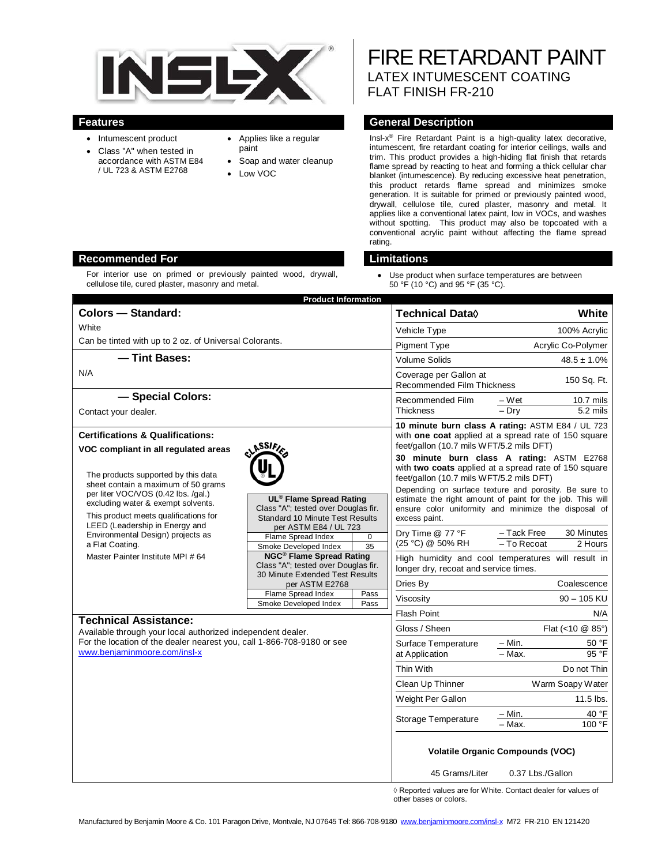

- Intumescent product
- Class "A" when tested in accordance with ASTM E84 / UL 723 & ASTM E2768
- Applies like a regular paint
- Soap and water cleanup
- Low VOC

FIRE RETARDANT PAINT LATEX INTUMESCENT COATING FLAT FINISH FR-210

## **Features General Description**

Insl-x® Fire Retardant Paint is a high-quality latex decorative, intumescent, fire retardant coating for interior ceilings, walls and trim. This product provides a high-hiding flat finish that retards flame spread by reacting to heat and forming a thick cellular char blanket (intumescence). By reducing excessive heat penetration, this product retards flame spread and minimizes smoke generation. It is suitable for primed or previously painted wood, drywall, cellulose tile, cured plaster, masonry and metal. It applies like a conventional latex paint, low in VOCs, and washes without spotting. This product may also be topcoated with a conventional acrylic paint without affecting the flame spread rating.

• Use product when surface temperatures are between 50 °F (10 °C) and 95 °F (35 °C).

|                                                                                                                                                                                                                                                  | <b>Product Information</b>                                                                                                                                                                                                                                                                                                                                  |                                                                                                                                                                                                                                                                                                                                                                 |                                                              |
|--------------------------------------------------------------------------------------------------------------------------------------------------------------------------------------------------------------------------------------------------|-------------------------------------------------------------------------------------------------------------------------------------------------------------------------------------------------------------------------------------------------------------------------------------------------------------------------------------------------------------|-----------------------------------------------------------------------------------------------------------------------------------------------------------------------------------------------------------------------------------------------------------------------------------------------------------------------------------------------------------------|--------------------------------------------------------------|
| <b>Colors - Standard:</b>                                                                                                                                                                                                                        |                                                                                                                                                                                                                                                                                                                                                             | Technical Data <sup>(</sup>                                                                                                                                                                                                                                                                                                                                     | White                                                        |
| White                                                                                                                                                                                                                                            |                                                                                                                                                                                                                                                                                                                                                             | Vehicle Type                                                                                                                                                                                                                                                                                                                                                    | 100% Acrylic                                                 |
| Can be tinted with up to 2 oz. of Universal Colorants.                                                                                                                                                                                           |                                                                                                                                                                                                                                                                                                                                                             | Pigment Type                                                                                                                                                                                                                                                                                                                                                    | Acrylic Co-Polymer                                           |
| -Tint Bases:                                                                                                                                                                                                                                     |                                                                                                                                                                                                                                                                                                                                                             | <b>Volume Solids</b>                                                                                                                                                                                                                                                                                                                                            | $48.5 \pm 1.0\%$                                             |
| N/A                                                                                                                                                                                                                                              |                                                                                                                                                                                                                                                                                                                                                             | Coverage per Gallon at<br>Recommended Film Thickness                                                                                                                                                                                                                                                                                                            | 150 Sq. Ft.                                                  |
| - Special Colors:                                                                                                                                                                                                                                |                                                                                                                                                                                                                                                                                                                                                             | Recommended Film                                                                                                                                                                                                                                                                                                                                                | 10.7 mils<br>$-Wet$                                          |
| Contact your dealer.                                                                                                                                                                                                                             |                                                                                                                                                                                                                                                                                                                                                             | <b>Thickness</b>                                                                                                                                                                                                                                                                                                                                                | 5.2 mils<br>$-$ Dry                                          |
| <b>Certifications &amp; Qualifications:</b><br>ASSIFIE<br>VOC compliant in all regulated areas<br>The products supported by this data<br>sheet contain a maximum of 50 grams                                                                     |                                                                                                                                                                                                                                                                                                                                                             | 10 minute burn class A rating: ASTM E84 / UL 723<br>with one coat applied at a spread rate of 150 square<br>feet/gallon (10.7 mils WFT/5.2 mils DFT)<br>30 minute burn class A rating: ASTM E2768<br>with two coats applied at a spread rate of 150 square<br>feet/gallon (10.7 mils WFT/5.2 mils DFT)<br>Depending on surface texture and porosity. Be sure to |                                                              |
| per liter VOC/VOS (0.42 lbs. /gal.)<br>excluding water & exempt solvents.<br>This product meets qualifications for<br>LEED (Leadership in Energy and<br>Environmental Design) projects as<br>a Flat Coating.<br>Master Painter Institute MPI #64 | UL <sup>®</sup> Flame Spread Rating<br>Class "A"; tested over Douglas fir.<br><b>Standard 10 Minute Test Results</b><br>per ASTM E84 / UL 723<br>Flame Spread Index<br>$\mathbf 0$<br>35<br>Smoke Developed Index<br><b>NGC<sup>®</sup> Flame Spread Rating</b><br>Class "A"; tested over Douglas fir.<br>30 Minute Extended Test Results<br>per ASTM E2768 | estimate the right amount of paint for the job. This will<br>ensure color uniformity and minimize the disposal of<br>excess paint.                                                                                                                                                                                                                              |                                                              |
|                                                                                                                                                                                                                                                  |                                                                                                                                                                                                                                                                                                                                                             | Dry Time @ 77 °F<br>(25 °C) @ 50% RH                                                                                                                                                                                                                                                                                                                            | - Tack Free<br>30 Minutes<br>- To Recoat<br>2 Hours          |
|                                                                                                                                                                                                                                                  |                                                                                                                                                                                                                                                                                                                                                             | High humidity and cool temperatures will result in<br>longer dry, recoat and service times.                                                                                                                                                                                                                                                                     |                                                              |
|                                                                                                                                                                                                                                                  |                                                                                                                                                                                                                                                                                                                                                             | Dries By                                                                                                                                                                                                                                                                                                                                                        | Coalescence                                                  |
|                                                                                                                                                                                                                                                  | Flame Spread Index<br>Pass<br>Smoke Developed Index<br>Pass                                                                                                                                                                                                                                                                                                 | Viscosity                                                                                                                                                                                                                                                                                                                                                       | $90 - 105$ KU                                                |
| <b>Technical Assistance:</b>                                                                                                                                                                                                                     |                                                                                                                                                                                                                                                                                                                                                             | <b>Flash Point</b>                                                                                                                                                                                                                                                                                                                                              | N/A                                                          |
| Available through your local authorized independent dealer.                                                                                                                                                                                      |                                                                                                                                                                                                                                                                                                                                                             | Gloss / Sheen                                                                                                                                                                                                                                                                                                                                                   | Flat $(< 10 \& 85^{\circ})$                                  |
| For the location of the dealer nearest you, call 1-866-708-9180 or see<br>www.benjaminmoore.com/insl-x                                                                                                                                           |                                                                                                                                                                                                                                                                                                                                                             | Surface Temperature<br>at Application                                                                                                                                                                                                                                                                                                                           | – Min.<br>50 °F<br>- Max.<br>95 °F                           |
|                                                                                                                                                                                                                                                  |                                                                                                                                                                                                                                                                                                                                                             | Thin With                                                                                                                                                                                                                                                                                                                                                       | Do not Thin                                                  |
|                                                                                                                                                                                                                                                  |                                                                                                                                                                                                                                                                                                                                                             | Clean Up Thinner                                                                                                                                                                                                                                                                                                                                                | Warm Soapy Water                                             |
|                                                                                                                                                                                                                                                  |                                                                                                                                                                                                                                                                                                                                                             | Weight Per Gallon                                                                                                                                                                                                                                                                                                                                               | $11.5$ lbs.                                                  |
|                                                                                                                                                                                                                                                  |                                                                                                                                                                                                                                                                                                                                                             | Storage Temperature                                                                                                                                                                                                                                                                                                                                             | 40 °F<br>– Min.<br>100 °F<br>- Max.                          |
|                                                                                                                                                                                                                                                  |                                                                                                                                                                                                                                                                                                                                                             | <b>Volatile Organic Compounds (VOC)</b>                                                                                                                                                                                                                                                                                                                         |                                                              |
|                                                                                                                                                                                                                                                  |                                                                                                                                                                                                                                                                                                                                                             | 45 Grams/Liter                                                                                                                                                                                                                                                                                                                                                  | 0.37 Lbs./Gallon                                             |
|                                                                                                                                                                                                                                                  |                                                                                                                                                                                                                                                                                                                                                             |                                                                                                                                                                                                                                                                                                                                                                 | ↑ Reported values are for White Contact dealer for values of |

 ◊ Reported values are for White. Contact dealer for values of other bases or colors.

# **Recommended For Limitations**

For interior use on primed or previously painted wood, drywall, cellulose tile, cured plaster, masonry and metal.